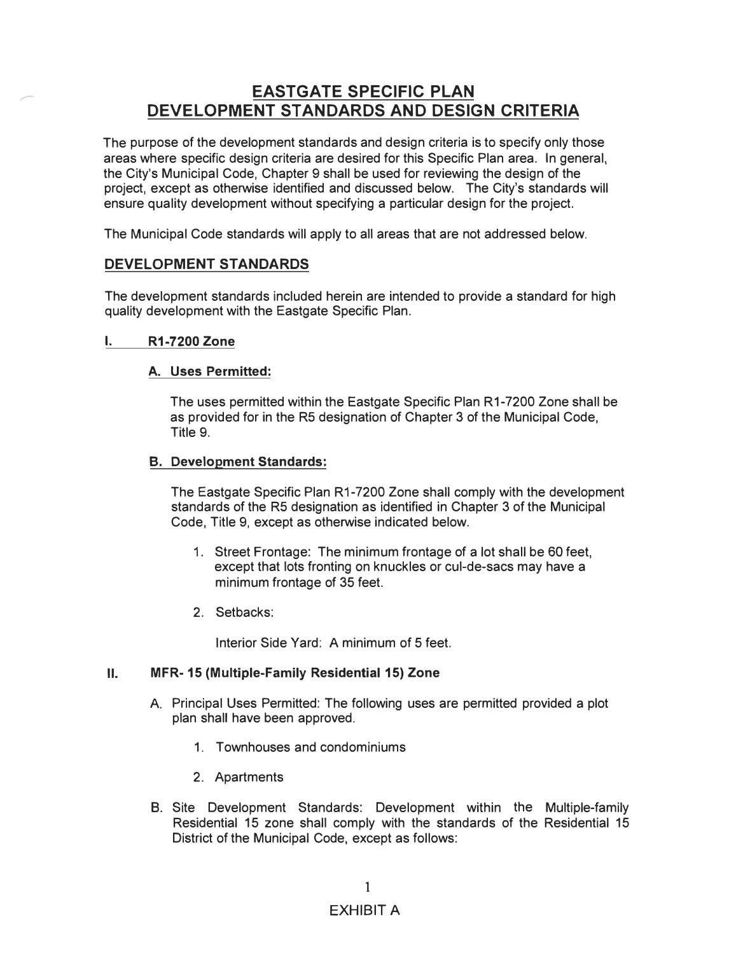# **EASTGATE SPECIFIC PLAN**<br>DEVELOPMENT STANDARDS AND DESIGN CRITERIA

The purpose of the development standards and design criteria is to specify only those areas where specific design criteria are desired for this Specific Plan area. In general, the City's Municipal Code, Chapter 9 shall be used for reviewing the design of the project, except as otherwise identified and discussed below. The City's standards will ensure quality development without specifying a particular design for the project.

The Municipal Code standards will apply to all areas that are not addressed below.

# **DEVELOPMENT STANDARDS**

The development standards included herein are intended to provide a standard for high quality development with the Eastgate Specific Plan.

# **I. R1-7200 Zone**

# **A. Uses Permitted:**

The uses permitted within the Eastgate Specific Plan R1-7200 Zone shall be as provided for in the RS designation of Chapter 3 of the Municipal Code, Title 9.

## **B. Development Standards:**

The Eastgate Specific Plan R1-7200 Zone shall comply with the development standards of the RS designation as identified in Chapter 3 of the Municipal Code, Title 9, except as otherwise indicated below.

- 1. Street Frontage: The minimum frontage of a lot shall be 60 feet, except that lots fronting on knuckles or cul-de-sacs may have a minimum frontage of 35 feet.
- 2. Setbacks:

Interior Side Yard: A minimum of 5 feet.

### **11. MFR- 15 (Multiple-Family Residential 15) Zone**

- A. Principal Uses Permitted: The following uses are permitted provided a plot plan shall have been approved.
	- 1. Townhouses and condominiums
	- 2. Apartments
- B. Site Development Standards: Development within the Multiple-family Residential 15 zone shall comply with the standards of the Residential 15 District of the Municipal Code, except as follows:

# EXHIBIT A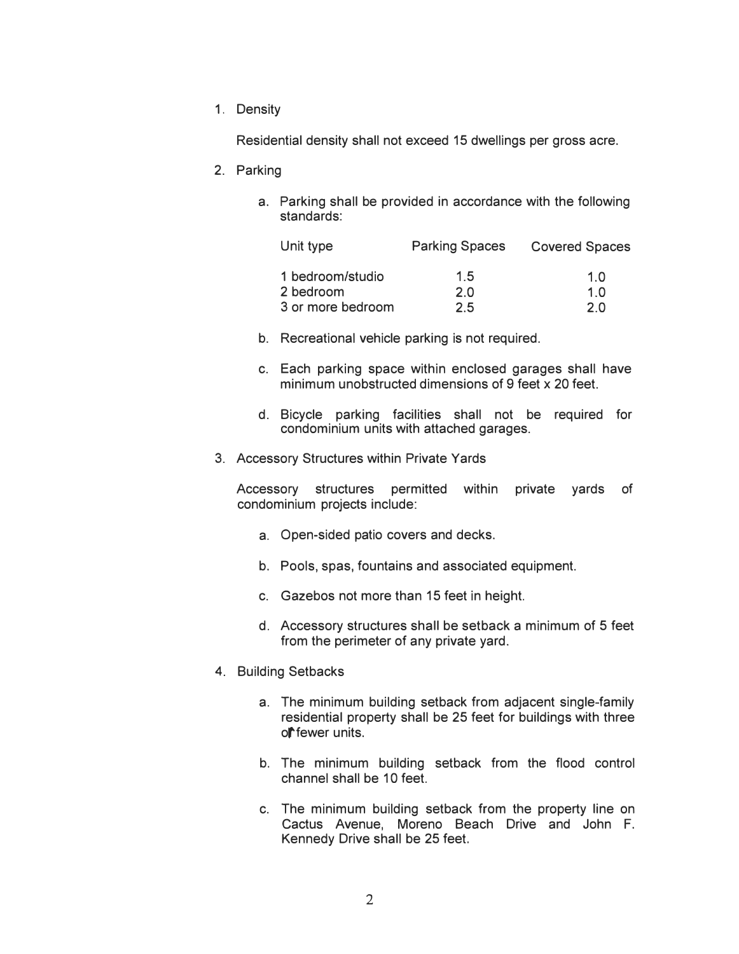1. Density

Residential density shall not exceed 15 dwellings per gross acre.

- 2. Parking
	- a. Parking shall be provided in accordance with the following standards:

| Unit type         | <b>Parking Spaces</b> | <b>Covered Spaces</b> |
|-------------------|-----------------------|-----------------------|
| 1 bedroom/studio  | 1.5                   | 1.0                   |
| 2 bedroom         | 2.0                   | 1.0                   |
| 3 or more bedroom | 2.5                   | 2 በ                   |

- b. Recreational vehicle parking is not required.
- c. Each parking space within enclosed garages shall have minimum unobstructed dimensions of 9 feet x 20 feet.
- d. Bicycle parking facilities shall not be required for condominium units with attached garages.
- 3. Accessory Structures within Private Yards

Accessory structures permitted within private yards of condominium projects include:

- a. Open-sided patio covers and decks.
- b. Pools, spas, fountains and associated equipment.
- c. Gazebos not more than 15 feet in height.
- d. Accessory structures shall be setback a minimum of 5 feet from the perimeter of any private yard.
- 4. Building Setbacks
	- a. The minimum building setback from adjacent single-family residential property shall be 25 feet for buildings with three ol<sup>t</sup>fewer units.
	- b. The minimum building setback from the flood control channel shall be 10 feet.
	- c. The minimum building setback from the property line on Cactus Avenue, Moreno Beach Drive and John F. Kennedy Drive shall be 25 feet.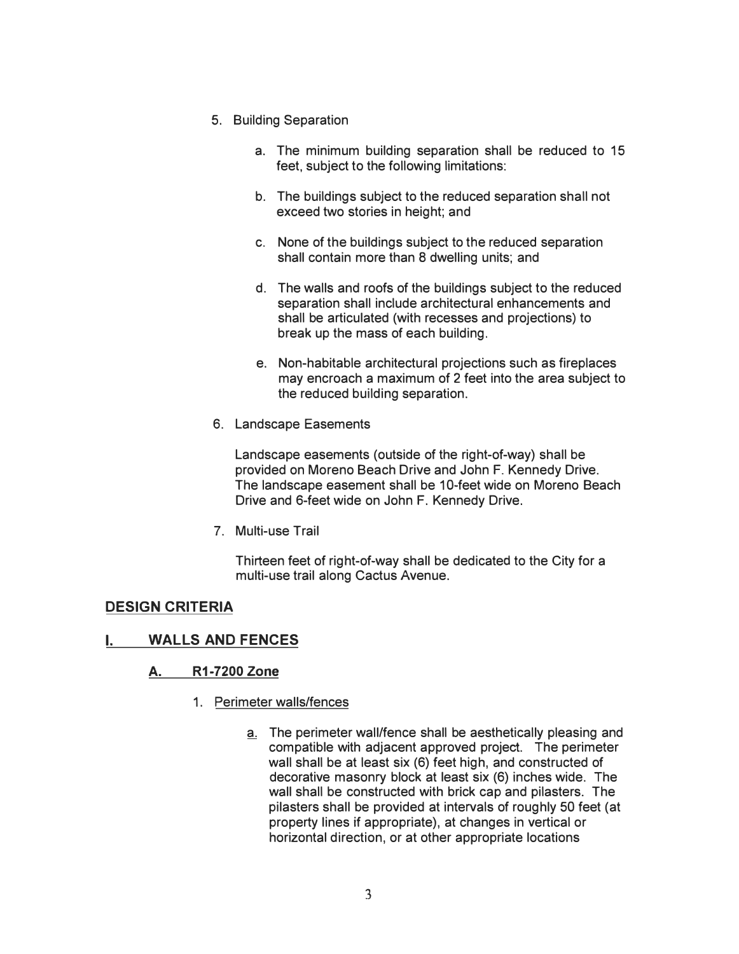- 5. Building Separation
	- a. The minimum building separation shall be reduced to 15 feet, subject to the following limitations:
	- b. The buildings subject to the reduced separation shall not exceed two stories in height; and
	- c. None of the buildings subject to the reduced separation shall contain more than 8 dwelling units; and
	- d. The walls and roofs of the buildings subject to the reduced separation shall include architectural enhancements and shall be articulated (with recesses and projections) to break up the mass of each building.
	- e. Non-habitable architectural projections such as fireplaces may encroach a maximum of 2 feet into the area subject to the reduced building separation.
- 6. Landscape Easements

Landscape easements (outside of the right-of-way) shall be provided on Moreno Beach Drive and John F. Kennedy Drive. The landscape easement shall be 10-feet wide on Moreno Beach Drive and 6-feet wide on John F. Kennedy Drive.

7. Multi-use Trail

Thirteen feet of right-of-way shall be dedicated to the City for a multi-use trail along Cactus Avenue.

# **DESIGN CRITERIA**

# **I. WALLS AND FENCES**

# **A. R1-7200 Zone**

- 1. Perimeter walls/fences
	- a. The perimeter wall/fence shall be aesthetically pleasing and compatible with adjacent approved project. The perimeter wall shall be at least six (6) feet high, and constructed of decorative masonry block at least six (6) inches wide. The wall shall be constructed with brick cap and pilasters. The pilasters shall be provided at intervals of roughly 50 feet (at property lines if appropriate), at changes in vertical or horizontal direction, or at other appropriate locations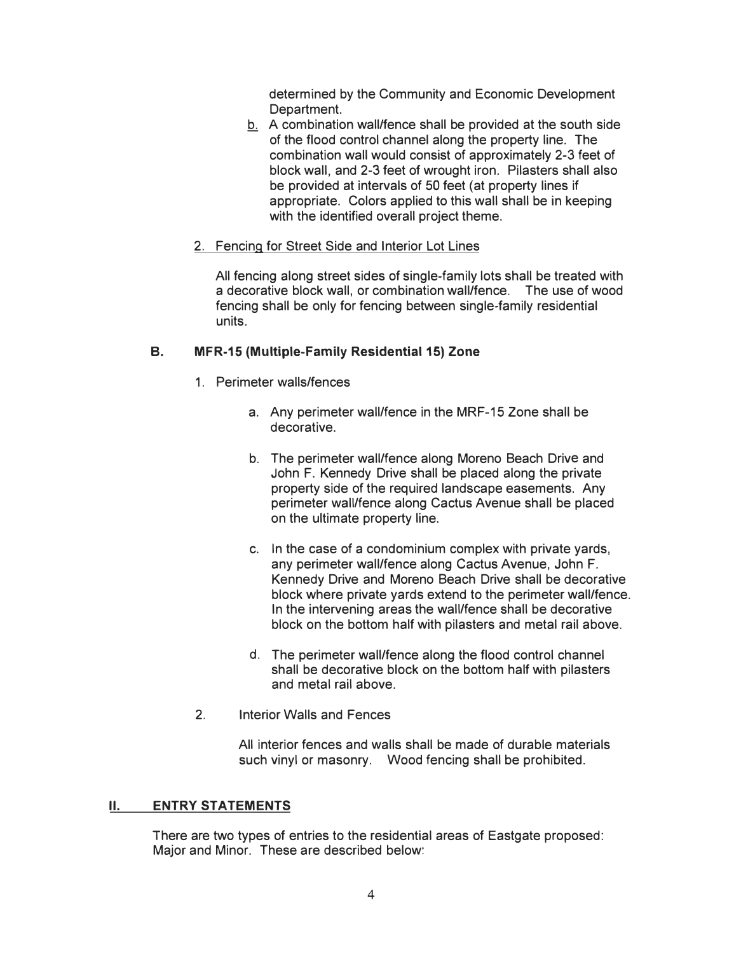determined by the Community and Economic Development Department.

� A combination wall/fence shall be provided at the south side of the flood control channel along the property line. The combination wall would consist of approximately 2-3 feet of block wall, and 2-3 feet of wrought iron. Pilasters shall also be provided at intervals of 50 feet (at property lines if appropriate. Colors applied to this wall shall be in keeping with the identified overall project theme.

## 2. Fencing for Street Side and Interior Lot Lines

All fencing along street sides of single-family lots shall be treated with a decorative block wall, or combination wall/fence. The use of wood fencing shall be only for fencing between single-family residential units.

### **B. MFR-15 (Multiple-Family Residential 15) Zone**

- 1. Perimeter walls/fences
	- a. Any perimeter wall/fence in the MRF-15 Zone shall be decorative.
	- b. The perimeter wall/fence along Moreno Beach Drive and John F. Kennedy Drive shall be placed along the private property side of the required landscape easements. Any perimeter wall/fence along Cactus Avenue shall be placed on the ultimate property line.
	- c. In the case of a condominium complex with private yards, any perimeter wall/fence along Cactus Avenue, John F. Kennedy Drive and Moreno Beach Drive shall be decorative block where private yards extend to the perimeter wall/fence. In the intervening areas the wall/fence shall be decorative block on the bottom half with pilasters and metal rail above.
	- d. The perimeter wall/fence along the flood control channel shall be decorative block on the bottom half with pilasters and metal rail above.
- 2. Interior Walls and Fences

All interior fences and walls shall be made of durable materials such vinyl or masonry. Wood fencing shall be prohibited.

### **11. ENTRY STATEMENTS**

There are two types of entries to the residential areas of Eastgate proposed: Major and Minor. These are described below: